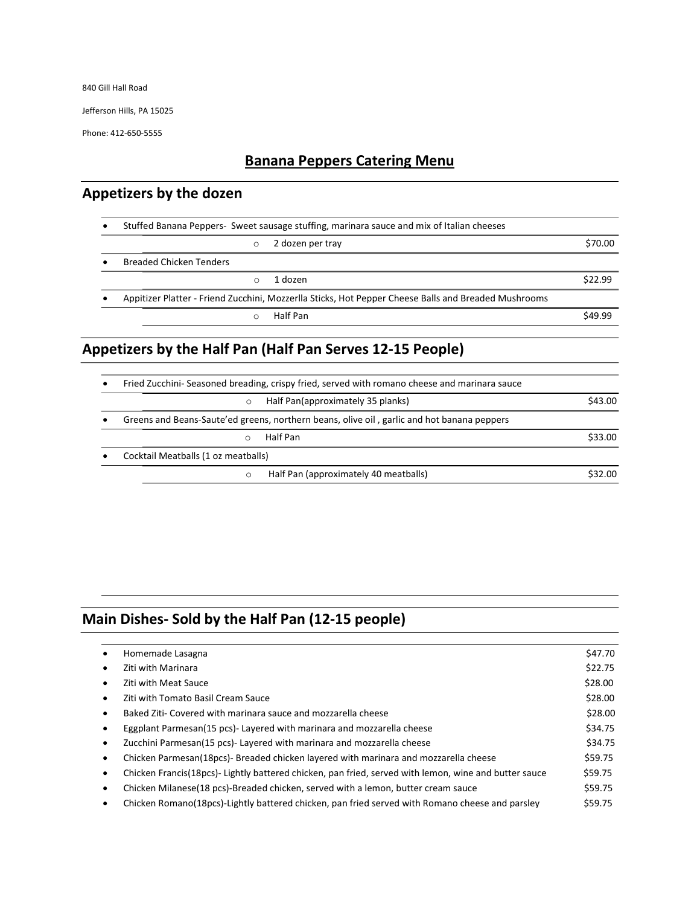840 Gill Hall Road

Jefferson Hills, PA 15025

Phone: 412-650-5555

## Banana Peppers Catering Menu

## Appetizers by the dozen

| $\bullet$ | Stuffed Banana Peppers- Sweet sausage stuffing, marinara sauce and mix of Italian cheeses |                                                                                                      |         |
|-----------|-------------------------------------------------------------------------------------------|------------------------------------------------------------------------------------------------------|---------|
|           | $\circ$                                                                                   | 2 dozen per tray                                                                                     | \$70.00 |
| $\bullet$ | <b>Breaded Chicken Tenders</b>                                                            |                                                                                                      |         |
|           | 1 dozen<br>$\circ$                                                                        |                                                                                                      | \$22.99 |
| $\bullet$ |                                                                                           | Appitizer Platter - Friend Zucchini, Mozzerlla Sticks, Hot Pepper Cheese Balls and Breaded Mushrooms |         |
|           | Half Pan                                                                                  |                                                                                                      | \$49.99 |

# Appetizers by the Half Pan (Half Pan Serves 12-15 People)

| $\bullet$ | Fried Zucchini- Seasoned breading, crispy fried, served with romano cheese and marinara sauce |         |
|-----------|-----------------------------------------------------------------------------------------------|---------|
|           | Half Pan(approximately 35 planks)<br>$\circ$                                                  | \$43.00 |
|           | Greens and Beans-Saute'ed greens, northern beans, olive oil, garlic and hot banana peppers    |         |
|           | Half Pan                                                                                      | \$33.00 |
|           | Cocktail Meatballs (1 oz meatballs)                                                           |         |
|           | Half Pan (approximately 40 meatballs)<br>$\Omega$                                             | \$32.00 |

# Main Dishes- Sold by the Half Pan (12-15 people)

| Homemade Lasagna                                                                                     | \$47.70 |
|------------------------------------------------------------------------------------------------------|---------|
| Ziti with Marinara                                                                                   | \$22.75 |
| Ziti with Meat Sauce                                                                                 | \$28.00 |
| Ziti with Tomato Basil Cream Sauce                                                                   | \$28.00 |
| Baked Ziti- Covered with marinara sauce and mozzarella cheese                                        | \$28.00 |
| Eggplant Parmesan(15 pcs)- Layered with marinara and mozzarella cheese                               | \$34.75 |
| Zucchini Parmesan(15 pcs)- Layered with marinara and mozzarella cheese                               | \$34.75 |
| Chicken Parmesan(18pcs)- Breaded chicken layered with marinara and mozzarella cheese                 | \$59.75 |
| Chicken Francis(18pcs)-Lightly battered chicken, pan fried, served with lemon, wine and butter sauce | \$59.75 |
| Chicken Milanese(18 pcs)-Breaded chicken, served with a lemon, butter cream sauce                    | \$59.75 |
| Chicken Romano (18pcs)-Lightly battered chicken, pan fried served with Romano cheese and parsley     | \$59.75 |
|                                                                                                      |         |